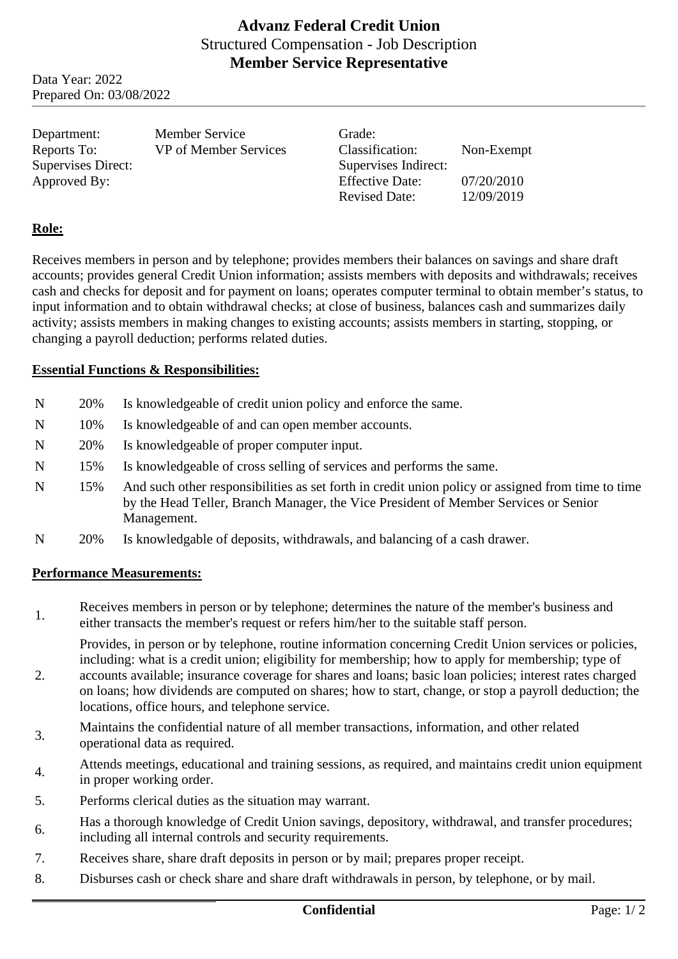# **Advanz Federal Credit Union** Structured Compensation - Job Description **Member Service Representative**

Data Year: 2022 Prepared On: 03/08/2022

| Department:        | <b>Member Service</b> | Grade:                 |            |
|--------------------|-----------------------|------------------------|------------|
| Reports To:        | VP of Member Services | Classification:        | Non-Exempt |
| Supervises Direct: |                       | Supervises Indirect:   |            |
| Approved By:       |                       | <b>Effective Date:</b> | 07/20/2010 |
|                    |                       | <b>Revised Date:</b>   | 12/09/2019 |
|                    |                       |                        |            |

### **Role:**

Receives members in person and by telephone; provides members their balances on savings and share draft accounts; provides general Credit Union information; assists members with deposits and withdrawals; receives cash and checks for deposit and for payment on loans; operates computer terminal to obtain member's status, to input information and to obtain withdrawal checks; at close of business, balances cash and summarizes daily activity; assists members in making changes to existing accounts; assists members in starting, stopping, or changing a payroll deduction; performs related duties.

#### **Essential Functions & Responsibilities:**

- N 20% Is knowledgeable of credit union policy and enforce the same.
- N 10% Is knowledgeable of and can open member accounts.
- N 20% Is knowledgeable of proper computer input.
- N 15% Is knowledgeable of cross selling of services and performs the same.
- N 15% And such other responsibilities as set forth in credit union policy or assigned from time to time by the Head Teller, Branch Manager, the Vice President of Member Services or Senior Management.
- N 20% Is knowledgable of deposits, withdrawals, and balancing of a cash drawer.

#### **Performance Measurements:**

1. Receives members in person or by telephone; determines the nature of the member's business and either transacts the member's request or refers him/her to the suitable staff person.

Provides, in person or by telephone, routine information concerning Credit Union services or policies, including: what is a credit union; eligibility for membership; how to apply for membership; type of

- 2. accounts available; insurance coverage for shares and loans; basic loan policies; interest rates charged on loans; how dividends are computed on shares; how to start, change, or stop a payroll deduction; the locations, office hours, and telephone service.
- 3. Maintains the confidential nature of all member transactions, information, and other related operational data as required.
- Attends meetings, educational and training sessions, as required, and maintains credit union equipment in proper working order.
- 5. Performs clerical duties as the situation may warrant.
- 6. Has a thorough knowledge of Credit Union savings, depository, withdrawal, and transfer procedures; including all internal controls and security requirements.
- 7. Receives share, share draft deposits in person or by mail; prepares proper receipt.
- 8. Disburses cash or check share and share draft withdrawals in person, by telephone, or by mail.